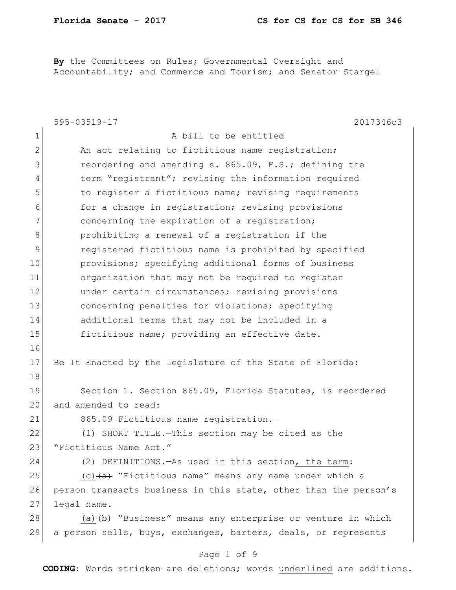By the Committees on Rules; Governmental Oversight and Accountability; and Commerce and Tourism; and Senator Stargel

|               | 2017346c3<br>595-03519-17                                         |
|---------------|-------------------------------------------------------------------|
| $\mathbf 1$   | A bill to be entitled                                             |
| $\mathbf{2}$  | An act relating to fictitious name registration;                  |
| 3             | reordering and amending s. 865.09, F.S.; defining the             |
| 4             | term "registrant"; revising the information required              |
| 5             | to register a fictitious name; revising requirements              |
| 6             | for a change in registration; revising provisions                 |
| 7             | concerning the expiration of a registration;                      |
| 8             | prohibiting a renewal of a registration if the                    |
| $\mathcal{G}$ | registered fictitious name is prohibited by specified             |
| 10            | provisions; specifying additional forms of business               |
| 11            | organization that may not be required to register                 |
| 12            | under certain circumstances; revising provisions                  |
| 13            | concerning penalties for violations; specifying                   |
| 14            | additional terms that may not be included in a                    |
| 15            | fictitious name; providing an effective date.                     |
| 16            |                                                                   |
| 17            | Be It Enacted by the Legislature of the State of Florida:         |
| 18            |                                                                   |
| 19            | Section 1. Section 865.09, Florida Statutes, is reordered         |
| 20            | and amended to read:                                              |
| 21            | 865.09 Fictitious name registration.-                             |
| 22            | (1) SHORT TITLE. - This section may be cited as the               |
| 23            | "Fictitious Name Act."                                            |
| 24            | (2) DEFINITIONS. - As used in this section, the term:             |
| 25            | (c) $\overline{a}$ "Fictitious name" means any name under which a |
| 26            | person transacts business in this state, other than the person's  |
| 27            | legal name.                                                       |
| 28            | (a) $(b)$ "Business" means any enterprise or venture in which     |
| 29            | a person sells, buys, exchanges, barters, deals, or represents    |
|               | Page 1 of 9                                                       |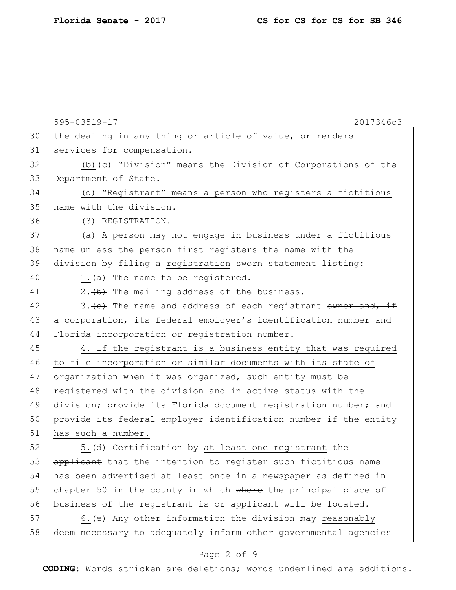|    | 595-03519-17<br>2017346c3                                                          |
|----|------------------------------------------------------------------------------------|
| 30 | the dealing in any thing or article of value, or renders                           |
| 31 | services for compensation.                                                         |
| 32 | (b) $\left\{\epsilon\right\}$ "Division" means the Division of Corporations of the |
| 33 | Department of State.                                                               |
| 34 | (d) "Registrant" means a person who registers a fictitious                         |
| 35 | name with the division.                                                            |
| 36 | (3) REGISTRATION.-                                                                 |
| 37 | (a) A person may not engage in business under a fictitious                         |
| 38 | name unless the person first registers the name with the                           |
| 39 | division by filing a registration sworn statement listing:                         |
| 40 | 1. $(a)$ The name to be registered.                                                |
| 41 | $2.$ $(b)$ The mailing address of the business.                                    |
| 42 | 3. (c) The name and address of each registrant owner and, if                       |
| 43 | a corporation, its federal employer's identification number and                    |
| 44 | Florida incorporation or registration number.                                      |
| 45 | 4. If the registrant is a business entity that was required                        |
| 46 | to file incorporation or similar documents with its state of                       |
| 47 | organization when it was organized, such entity must be                            |
| 48 | registered with the division and in active status with the                         |
| 49 | division; provide its Florida document registration number; and                    |
| 50 | provide its federal employer identification number if the entity                   |
| 51 | has such a number.                                                                 |
| 52 | 5.(d) Certification by at least one registrant the                                 |
| 53 | applicant that the intention to register such fictitious name                      |
| 54 | has been advertised at least once in a newspaper as defined in                     |
| 55 | chapter 50 in the county in which where the principal place of                     |
| 56 | business of the registrant is or applicant will be located.                        |
| 57 | 6. $\leftrightarrow$ Any other information the division may reasonably             |
| 58 | deem necessary to adequately inform other governmental agencies                    |

# Page 2 of 9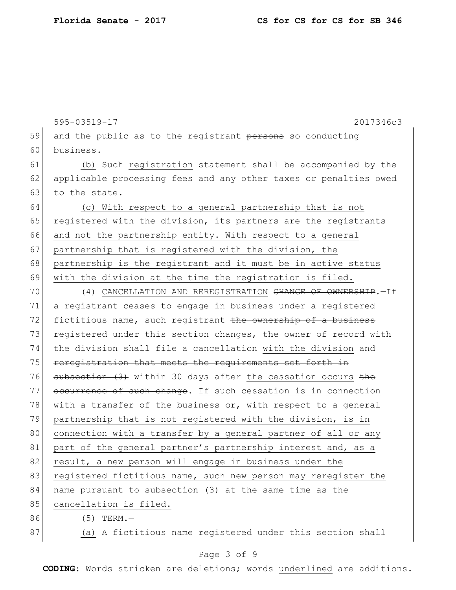|    | 595-03519-17<br>2017346c3                                               |
|----|-------------------------------------------------------------------------|
| 59 | and the public as to the registrant persons so conducting               |
| 60 | business.                                                               |
| 61 | (b) Such registration statement shall be accompanied by the             |
| 62 | applicable processing fees and any other taxes or penalties owed        |
| 63 | to the state.                                                           |
| 64 | (c) With respect to a general partnership that is not                   |
| 65 | registered with the division, its partners are the registrants          |
| 66 | and not the partnership entity. With respect to a general               |
| 67 | partnership that is registered with the division, the                   |
| 68 | partnership is the registrant and it must be in active status           |
| 69 | with the division at the time the registration is filed.                |
| 70 | (4) CANCELLATION AND REREGISTRATION <del>CHANGE OF OWNERSHIP</del> .-If |
| 71 | a registrant ceases to engage in business under a registered            |
| 72 | fictitious name, such registrant the ownership of a business            |
| 73 | registered under this section changes, the owner of record with         |
| 74 | the division shall file a cancellation with the division and            |
| 75 | reregistration that meets the requirements set forth in                 |
| 76 | subsection (3) within 30 days after the cessation occurs the            |
| 77 | occurrence of such change. If such cessation is in connection           |
| 78 | with a transfer of the business or, with respect to a general           |
| 79 | partnership that is not registered with the division, is in             |
| 80 | connection with a transfer by a general partner of all or any           |
| 81 | part of the general partner's partnership interest and, as a            |
| 82 | result, a new person will engage in business under the                  |
| 83 | registered fictitious name, such new person may reregister the          |
| 84 | name pursuant to subsection (3) at the same time as the                 |
| 85 | cancellation is filed.                                                  |
| 86 | $(5)$ TERM.-                                                            |
| 87 | (a) A fictitious name registered under this section shall               |

# Page 3 of 9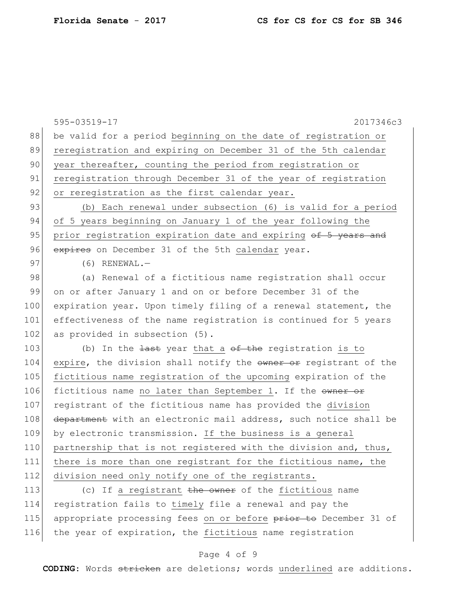595-03519-17 2017346c3 88 be valid for a period beginning on the date of registration or 89 reregistration and expiring on December 31 of the 5th calendar 90 year thereafter, counting the period from registration or 91 reregistration through December 31 of the year of registration 92 or reregistration as the first calendar year. 93 (b) Each renewal under subsection (6) is valid for a period 94 of 5 years beginning on January 1 of the year following the 95 prior registration expiration date and expiring of 5 years and 96 expires on December 31 of the 5th calendar year.  $97$  (6) RENEWAL. 98 (a) Renewal of a fictitious name registration shall occur 99 on or after January 1 and on or before December 31 of the 100 expiration year. Upon timely filing of a renewal statement, the 101 effectiveness of the name registration is continued for 5 years 102 as provided in subsection (5). 103 (b) In the  $\frac{1}{4}$  least year that a  $\theta$  the registration is to 104 expire, the division shall notify the owner or registrant of the 105 fictitious name registration of the upcoming expiration of the 106 fictitious name no later than September 1. If the owner or 107 registrant of the fictitious name has provided the division 108 department with an electronic mail address, such notice shall be 109 by electronic transmission. If the business is a general 110 partnership that is not registered with the division and, thus, 111 there is more than one registrant for the fictitious name, the 112 division need only notify one of the registrants. 113 (c) If a registrant the owner of the fictitious name 114 registration fails to timely file a renewal and pay the 115 appropriate processing fees on or before prior to December 31 of

#### Page 4 of 9

116 the year of expiration, the fictitious name registration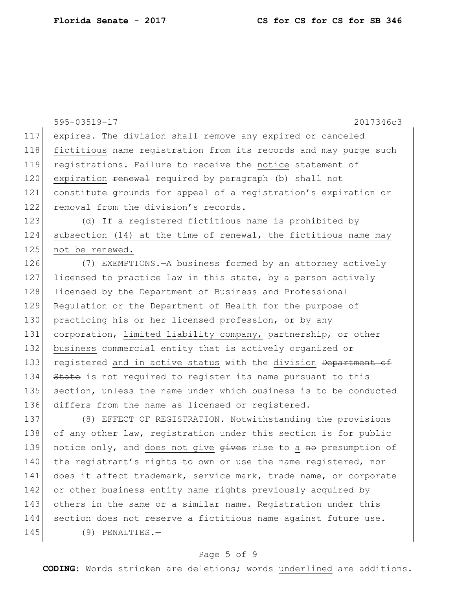595-03519-17 2017346c3 117 expires. The division shall remove any expired or canceled 118 fictitious name registration from its records and may purge such 119 registrations. Failure to receive the notice statement of 120 expiration <del>renewal</del> required by paragraph (b) shall not 121 constitute grounds for appeal of a registration's expiration or 122 removal from the division's records. 123 (d) If a registered fictitious name is prohibited by 124 subsection (14) at the time of renewal, the fictitious name may 125 not be renewed. 126 (7) EXEMPTIONS.—A business formed by an attorney actively 127 licensed to practice law in this state, by a person actively 128 licensed by the Department of Business and Professional 129 Regulation or the Department of Health for the purpose of 130 practicing his or her licensed profession, or by any 131 corporation, limited liability company, partnership, or other 132 business commercial entity that is actively organized or 133 registered and in active status with the division Department of 134 State is not required to register its name pursuant to this 135 section, unless the name under which business is to be conducted 136 differs from the name as licensed or registered. 137 (8) EFFECT OF REGISTRATION. Notwithstanding the provisions 138  $\leftrightarrow$  any other law, registration under this section is for public 139 notice only, and does not give  $q$ ives rise to a no presumption of 140 the registrant's rights to own or use the name registered, nor 141 does it affect trademark, service mark, trade name, or corporate 142 or other business entity name rights previously acquired by 143 others in the same or a similar name. Registration under this 144 section does not reserve a fictitious name against future use. 145 (9) PENALTIES.-

### Page 5 of 9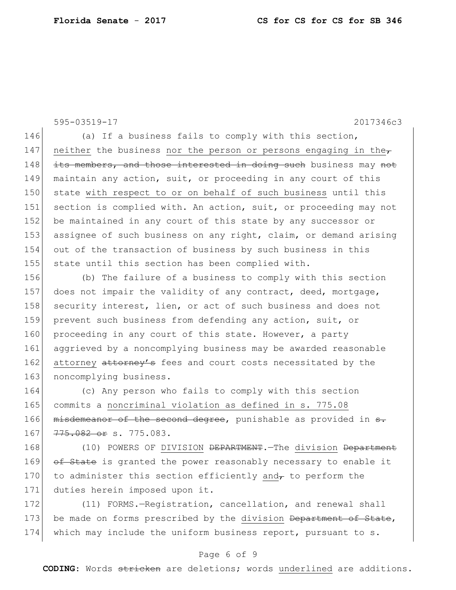595-03519-17 2017346c3 146 (a) If a business fails to comply with this section, 147 neither the business nor the person or persons engaging in the $\tau$ 148 its members, and those interested in doing such business may not 149 maintain any action, suit, or proceeding in any court of this 150 state with respect to or on behalf of such business until this 151 section is complied with. An action, suit, or proceeding may not 152 be maintained in any court of this state by any successor or 153 assignee of such business on any right, claim, or demand arising 154 out of the transaction of business by such business in this 155 state until this section has been complied with. 156 (b) The failure of a business to comply with this section 157 does not impair the validity of any contract, deed, mortgage, 158 security interest, lien, or act of such business and does not 159 prevent such business from defending any action, suit, or 160 proceeding in any court of this state. However, a party

161 aggrieved by a noncomplying business may be awarded reasonable 162 attorney attorney's fees and court costs necessitated by the 163 noncomplying business.

164 (c) Any person who fails to comply with this section 165 commits a noncriminal violation as defined in s. 775.08 166  $\overline{\text{misdeneancer of the second degree}}$ , punishable as provided in  $\overline{\text{e}}$ . 167 775.082 or s. 775.083.

168 (10) POWERS OF DIVISION <del>DEPARTMENT</del>. The division Department 169 of State is granted the power reasonably necessary to enable it 170 to administer this section efficiently and to perform the 171 duties herein imposed upon it.

172 (11) FORMS.-Registration, cancellation, and renewal shall 173 be made on forms prescribed by the division Department of State, 174 which may include the uniform business report, pursuant to s.

### Page 6 of 9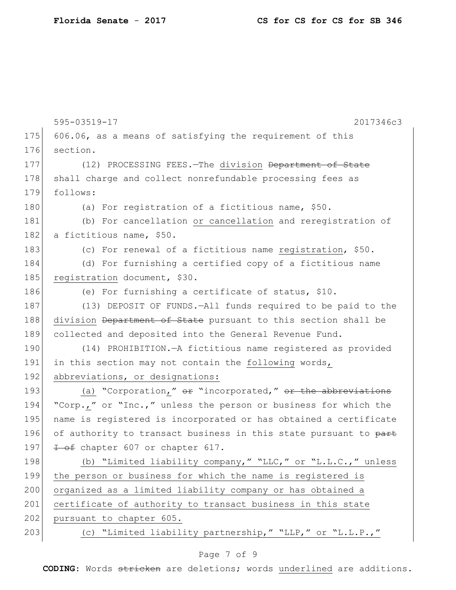|     | 595-03519-17<br>2017346c3                                        |
|-----|------------------------------------------------------------------|
| 175 | 606.06, as a means of satisfying the requirement of this         |
| 176 | section.                                                         |
| 177 | (12) PROCESSING FEES. - The division Department of State         |
| 178 | shall charge and collect nonrefundable processing fees as        |
| 179 | follows:                                                         |
| 180 | (a) For registration of a fictitious name, \$50.                 |
| 181 | (b) For cancellation or cancellation and reregistration of       |
| 182 | a fictitious name, \$50.                                         |
| 183 | (c) For renewal of a fictitious name registration, \$50.         |
| 184 | (d) For furnishing a certified copy of a fictitious name         |
| 185 | registration document, \$30.                                     |
| 186 | (e) For furnishing a certificate of status, \$10.                |
| 187 | (13) DEPOSIT OF FUNDS.-All funds required to be paid to the      |
| 188 | division Department of State pursuant to this section shall be   |
| 189 | collected and deposited into the General Revenue Fund.           |
| 190 | (14) PROHIBITION. - A fictitious name registered as provided     |
| 191 | in this section may not contain the following words,             |
| 192 | abbreviations, or designations:                                  |
| 193 | (a) "Corporation," $e^x$ "incorporated," $e^x$ the abbreviations |
| 194 | "Corp.," or "Inc.," unless the person or business for which the  |
| 195 | name is registered is incorporated or has obtained a certificate |
| 196 | of authority to transact business in this state pursuant to part |
| 197 | 1 of chapter 607 or chapter 617.                                 |
| 198 | (b) "Limited liability company," "LLC," or "L.L.C.," unless      |
| 199 | the person or business for which the name is registered is       |
| 200 | organized as a limited liability company or has obtained a       |
| 201 | certificate of authority to transact business in this state      |
| 202 | pursuant to chapter 605.                                         |
| 203 | (c) "Limited liability partnership," "LLP," or "L.L.P.,"         |

# Page 7 of 9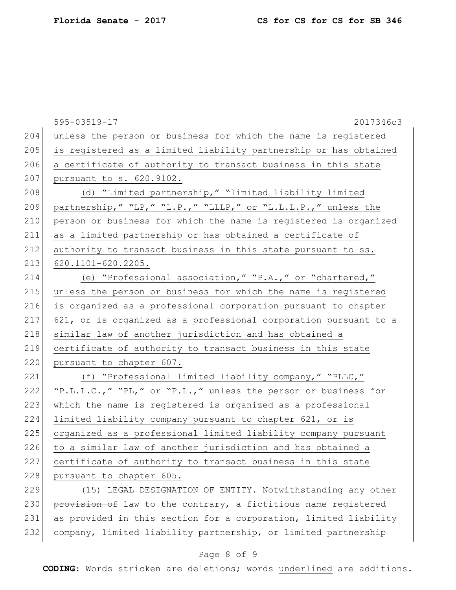|     | 595-03519-17<br>2017346c3                                          |
|-----|--------------------------------------------------------------------|
| 204 | unless the person or business for which the name is registered     |
| 205 | is registered as a limited liability partnership or has obtained   |
| 206 | a certificate of authority to transact business in this state      |
| 207 | pursuant to s. 620.9102.                                           |
| 208 | (d) "Limited partnership," "limited liability limited              |
| 209 | partnership, " "LP, " "L.P., " "LLLP, " or "L.L.L.P., " unless the |
| 210 | person or business for which the name is registered is organized   |
| 211 | as a limited partnership or has obtained a certificate of          |
| 212 | authority to transact business in this state pursuant to ss.       |
| 213 | 620.1101-620.2205.                                                 |
| 214 | (e) "Professional association," "P.A.," or "chartered,"            |
| 215 | unless the person or business for which the name is registered     |
| 216 | is organized as a professional corporation pursuant to chapter     |
| 217 | 621, or is organized as a professional corporation pursuant to a   |
| 218 | similar law of another jurisdiction and has obtained a             |
| 219 | certificate of authority to transact business in this state        |
| 220 | pursuant to chapter 607.                                           |
| 221 | (f) "Professional limited liability company," "PLLC,"              |
| 222 | "P.L.L.C.," "PL," or "P.L.," unless the person or business for     |
| 223 | which the name is registered is organized as a professional        |
| 224 | limited liability company pursuant to chapter 621, or is           |
| 225 | organized as a professional limited liability company pursuant     |
| 226 | to a similar law of another jurisdiction and has obtained a        |
| 227 | certificate of authority to transact business in this state        |
| 228 | pursuant to chapter 605.                                           |
| 229 | (15) LEGAL DESIGNATION OF ENTITY.-Notwithstanding any other        |
| 230 | provision of law to the contrary, a fictitious name registered     |
| 231 | as provided in this section for a corporation, limited liability   |
| 232 | company, limited liability partnership, or limited partnership     |

# Page 8 of 9